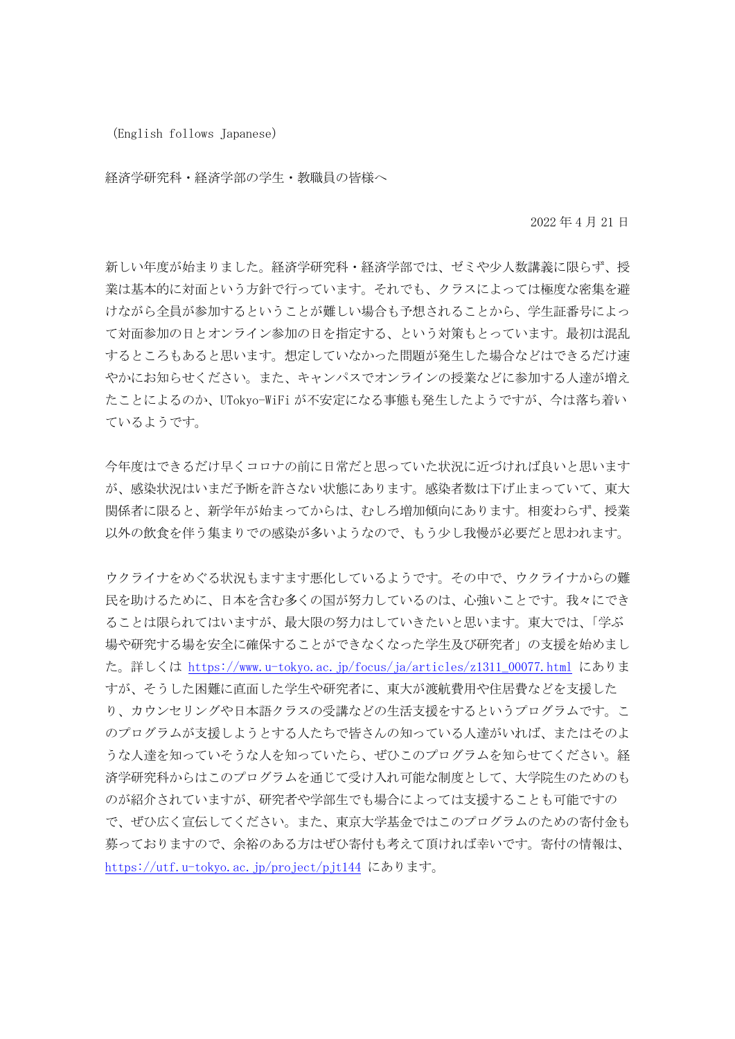(English follows Japanese)

経済学研究科・経済学部の学生・教職員の皆様へ

2022 年 4 月 21 日

新しい年度が始まりました。経済学研究科・経済学部では、ゼミや少人数講義に限らず、授 業は基本的に対面という方針で行っています。それでも、クラスによっては極度な密集を避 けながら全員が参加するということが難しい場合も予想されることから、学生証番号によっ て対面参加の日とオンライン参加の日を指定する、という対策もとっています。最初は混乱 するところもあると思います。想定していなかった問題が発生した場合などはできるだけ速 やかにお知らせください。また、キャンパスでオンラインの授業などに参加する人達が増え たことによるのか、UTokyo-WiFi が不安定になる事態も発生したようですが、今は落ち着い ているようです。

今年度はできるだけ早くコロナの前に日常だと思っていた状況に近づければ良いと思います が、感染状況はいまだ予断を許さない状態にあります。感染者数は下げ止まっていて、東大 関係者に限ると、新学年が始まってからは、むしろ増加傾向にあります。相変わらず、授業 以外の飲食を伴う集まりでの感染が多いようなので、もう少し我慢が必要だと思われます。

ウクライナをめぐる状況もますます悪化しているようです。その中で、ウクライナからの難 民を助けるために、日本を含む多くの国が努力しているのは、心強いことです。我々にでき ることは限られてはいますが、最大限の努力はしていきたいと思います。東大では、「学ぶ 場や研究する場を安全に確保することができなくなった学生及び研究者」の支援を始めまし た。詳しくは https://www.u-tokyo.ac.jp/focus/ja/articles/z1311\_00077.html にありま すが、そうした困難に直面した学生や研究者に、東大が渡航費用や住居費などを支援した り、カウンセリングや日本語クラスの受講などの生活支援をするというプログラムです。こ のプログラムが支援しようとする人たちで皆さんの知っている人達がいれば、またはそのよ うな人達を知っていそうな人を知っていたら、ぜひこのプログラムを知らせてください。経 済学研究科からはこのプログラムを通じて受け入れ可能な制度として、大学院生のためのも のが紹介されていますが、研究者や学部生でも場合によっては支援することも可能ですの で、ぜひ広く宣伝してください。また、東京大学基金ではこのプログラムのための寄付金も 募っておりますので、余裕のある方はぜひ寄付も考えて頂ければ幸いです。寄付の情報は、 https://utf.u-tokyo.ac.jp/project/pjt144 にあります。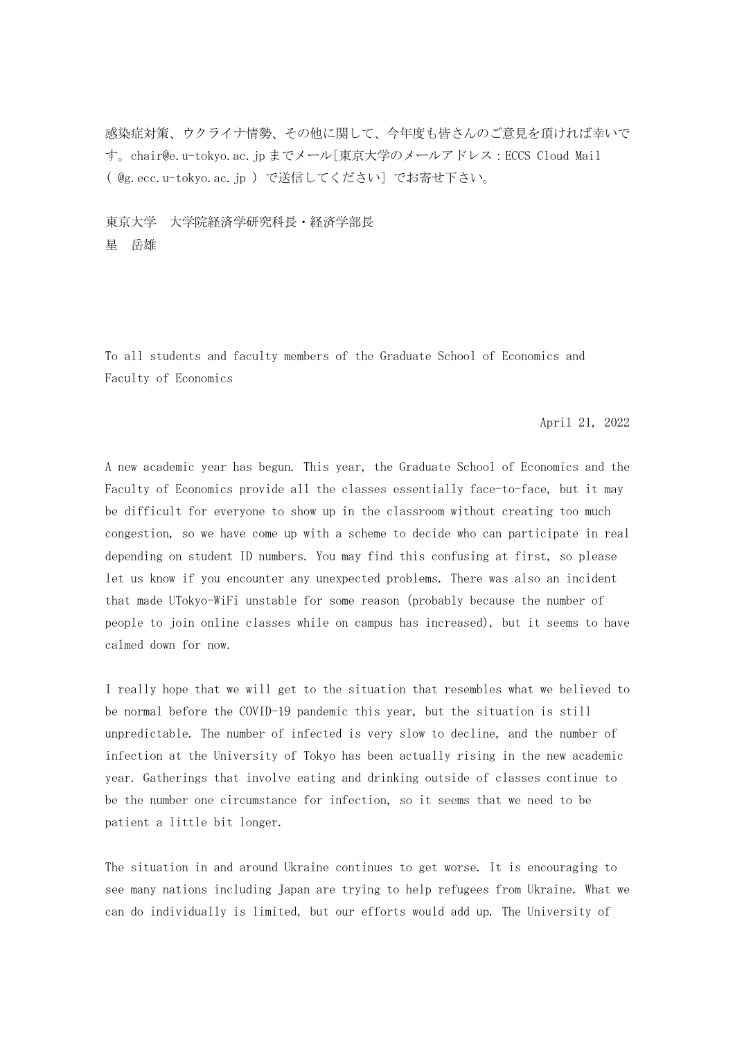感染症対策、ウクライナ情勢、その他に関して、今年度も皆さんのご意見を頂ければ幸いで す。chair@e.u-tokyo.ac.jp までメール[東京大学のメールアドレス:ECCS Cloud Mail ( @g.ecc.u-tokyo.ac.jp )で送信してください] でお寄せ下さい。

東京大学 大学院経済学研究科長・経済学部長 星 岳雄

To all students and faculty members of the Graduate School of Economics and Faculty of Economics

## April 21, 2022

A new academic year has begun. This year, the Graduate School of Economics and the Faculty of Economics provide all the classes essentially face-to-face, but it may be difficult for everyone to show up in the classroom without creating too much congestion, so we have come up with a scheme to decide who can participate in real depending on student ID numbers. You may find this confusing at first, so please let us know if you encounter any unexpected problems. There was also an incident that made UTokyo-WiFi unstable for some reason (probably because the number of people to join online classes while on campus has increased), but it seems to have calmed down for now.

I really hope that we will get to the situation that resembles what we believed to be normal before the COVID-19 pandemic this year, but the situation is still unpredictable. The number of infected is very slow to decline, and the number of infection at the University of Tokyo has been actually rising in the new academic year. Gatherings that involve eating and drinking outside of classes continue to be the number one circumstance for infection, so it seems that we need to be patient a little bit longer.

The situation in and around Ukraine continues to get worse. It is encouraging to see many nations including Japan are trying to help refugees from Ukraine. What we can do individually is limited, but our efforts would add up. The University of